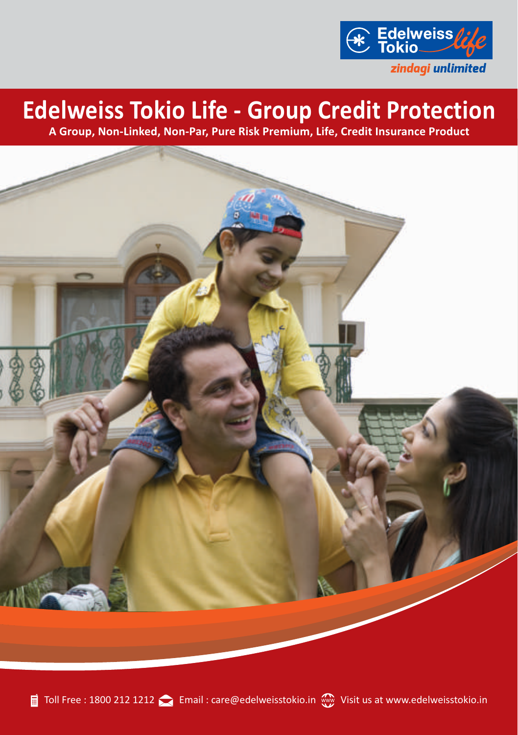

# **Edelweiss Tokio Life - Group Credit Protection**

**A Group, Non-Linked, Non-Par, Pure Risk Premium, Life, Credit Insurance Product**

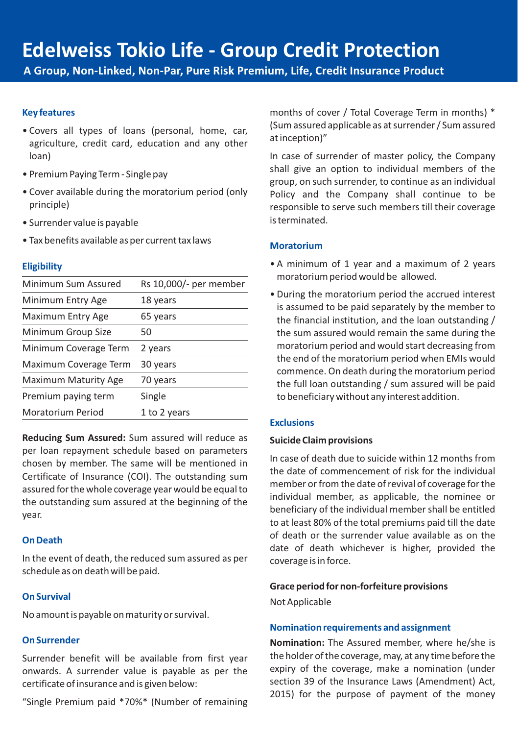**A Group, Non-Linked, Non-Par, Pure Risk Premium, Life, Credit Insurance Product**

## **Key features**

- Covers all types of loans (personal, home, car, agriculture, credit card, education and any other loan)
- Premium Paying Term Single pay
- Cover available during the moratorium period (only principle)
- Surrender value is payable
- Tax benefits available as per current tax laws

# **Eligibility**

| Minimum Sum Assured         | Rs 10,000/- per member |
|-----------------------------|------------------------|
| Minimum Entry Age           | 18 years               |
| <b>Maximum Entry Age</b>    | 65 years               |
| Minimum Group Size          | 50                     |
| Minimum Coverage Term       | 2 years                |
| Maximum Coverage Term       | 30 years               |
| <b>Maximum Maturity Age</b> | 70 years               |
| Premium paying term         | Single                 |
| Moratorium Period           | 1 to 2 years           |

**Reducing Sum Assured:** Sum assured will reduce as per loan repayment schedule based on parameters chosen by member. The same will be mentioned in Certificate of Insurance (COI). The outstanding sum assured for the whole coverage year would be equal to the outstanding sum assured at the beginning of the year.

## **On Death**

In the event of death, the reduced sum assured as per schedule as on death will be paid.

# **On Survival**

No amount is payable on maturity or survival.

# **On Surrender**

Surrender benefit will be available from first year onwards. A surrender value is payable as per the certificate of insurance and is given below:

"Single Premium paid \*70%\* (Number of remaining

months of cover / Total Coverage Term in months) \* (Sum assured applicable as at surrender / Sum assured at inception)"

In case of surrender of master policy, the Company shall give an option to individual members of the group, on such surrender, to continue as an individual Policy and the Company shall continue to be responsible to serve such members till their coverage is terminated.

# **Moratorium**

- A minimum of 1 year and a maximum of 2 years moratorium period would be allowed.
- During the moratorium period the accrued interest is assumed to be paid separately by the member to the financial institution, and the loan outstanding / the sum assured would remain the same during the moratorium period and would start decreasing from the end of the moratorium period when EMIs would commence. On death during the moratorium period the full loan outstanding / sum assured will be paid to beneficiary without any interest addition.

# **Exclusions**

#### **Suicide Claim provisions**

In case of death due to suicide within 12 months from the date of commencement of risk for the individual member or from the date of revival of coverage for the individual member, as applicable, the nominee or beneficiary of the individual member shall be entitled to at least 80% of the total premiums paid till the date of death or the surrender value available as on the date of death whichever is higher, provided the coverage is in force.

#### **Grace period for non-forfeiture provisions**

Not Applicable

#### **Nomination requirements and assignment**

**Nomination:** The Assured member, where he/she is the holder of the coverage, may, at any time before the expiry of the coverage, make a nomination (under section 39 of the Insurance Laws (Amendment) Act, 2015) for the purpose of payment of the money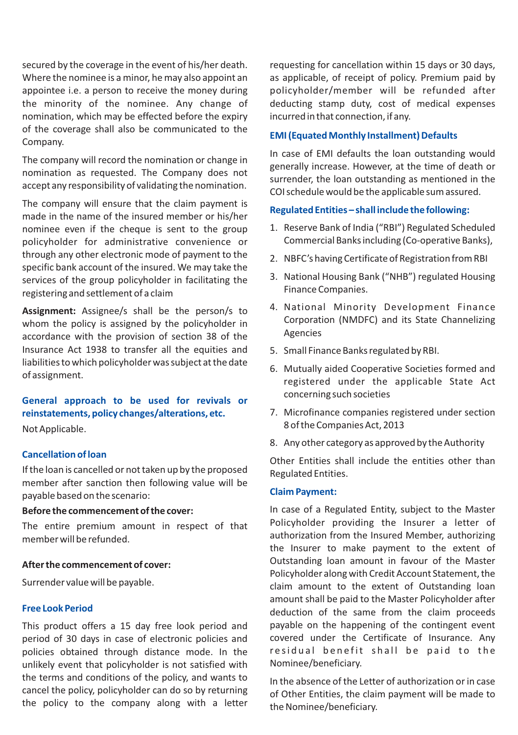secured by the coverage in the event of his/her death. Where the nominee is a minor, he may also appoint an appointee i.e. a person to receive the money during the minority of the nominee. Any change of nomination, which may be effected before the expiry of the coverage shall also be communicated to the Company.

The company will record the nomination or change in nomination as requested. The Company does not accept any responsibility of validating the nomination.

The company will ensure that the claim payment is made in the name of the insured member or his/her nominee even if the cheque is sent to the group policyholder for administrative convenience or through any other electronic mode of payment to the specific bank account of the insured. We may take the services of the group policyholder in facilitating the registering and settlement of a claim

**Assignment:** Assignee/s shall be the person/s to whom the policy is assigned by the policyholder in accordance with the provision of section 38 of the Insurance Act 1938 to transfer all the equities and liabilities to which policyholder was subject at the date of assignment.

# **General approach to be used for revivals or reinstatements, policy changes/alterations, etc.**

Not Applicable.

#### **Cancellation of loan**

If the loan is cancelled or not taken up by the proposed member after sanction then following value will be payable based on the scenario:

#### **Before the commencement of the cover:**

The entire premium amount in respect of that member will be refunded.

#### **After the commencement of cover:**

Surrender value will be payable.

#### **Free Look Period**

This product offers a 15 day free look period and period of 30 days in case of electronic policies and policies obtained through distance mode. In the unlikely event that policyholder is not satisfied with the terms and conditions of the policy, and wants to cancel the policy, policyholder can do so by returning the policy to the company along with a letter

requesting for cancellation within 15 days or 30 days, as applicable, of receipt of policy. Premium paid by policyholder/member will be refunded after deducting stamp duty, cost of medical expenses incurred in that connection, if any.

#### **EMI (Equated Monthly Installment) Defaults**

In case of EMI defaults the loan outstanding would generally increase. However, at the time of death or surrender, the loan outstanding as mentioned in the COI schedule would be the applicable sum assured.

#### **Regulated Entities – shall include the following:**

- 1. Reserve Bank of India ("RBI") Regulated Scheduled Commercial Banks including (Co-operative Banks),
- 2. NBFC's having Certificate of Registration from RBI
- 3. National Housing Bank ("NHB") regulated Housing Finance Companies.
- 4. National Minority Development Finance Corporation (NMDFC) and its State Channelizing Agencies
- 5. Small Finance Banks regulated by RBI.
- 6. Mutually aided Cooperative Societies formed and registered under the applicable State Act concerning such societies
- 7. Microfinance companies registered under section 8 of the Companies Act, 2013
- 8. Any other category as approved by the Authority

Other Entities shall include the entities other than Regulated Entities.

#### **Claim Payment:**

In case of a Regulated Entity, subject to the Master Policyholder providing the Insurer a letter of authorization from the Insured Member, authorizing the Insurer to make payment to the extent of Outstanding loan amount in favour of the Master Policyholder along with Credit Account Statement, the claim amount to the extent of Outstanding loan amount shall be paid to the Master Policyholder after deduction of the same from the claim proceeds payable on the happening of the contingent event covered under the Certificate of Insurance. Any residual benefit shall be paid to the Nominee/beneficiary.

In the absence of the Letter of authorization or in case of Other Entities, the claim payment will be made to the Nominee/beneficiary.